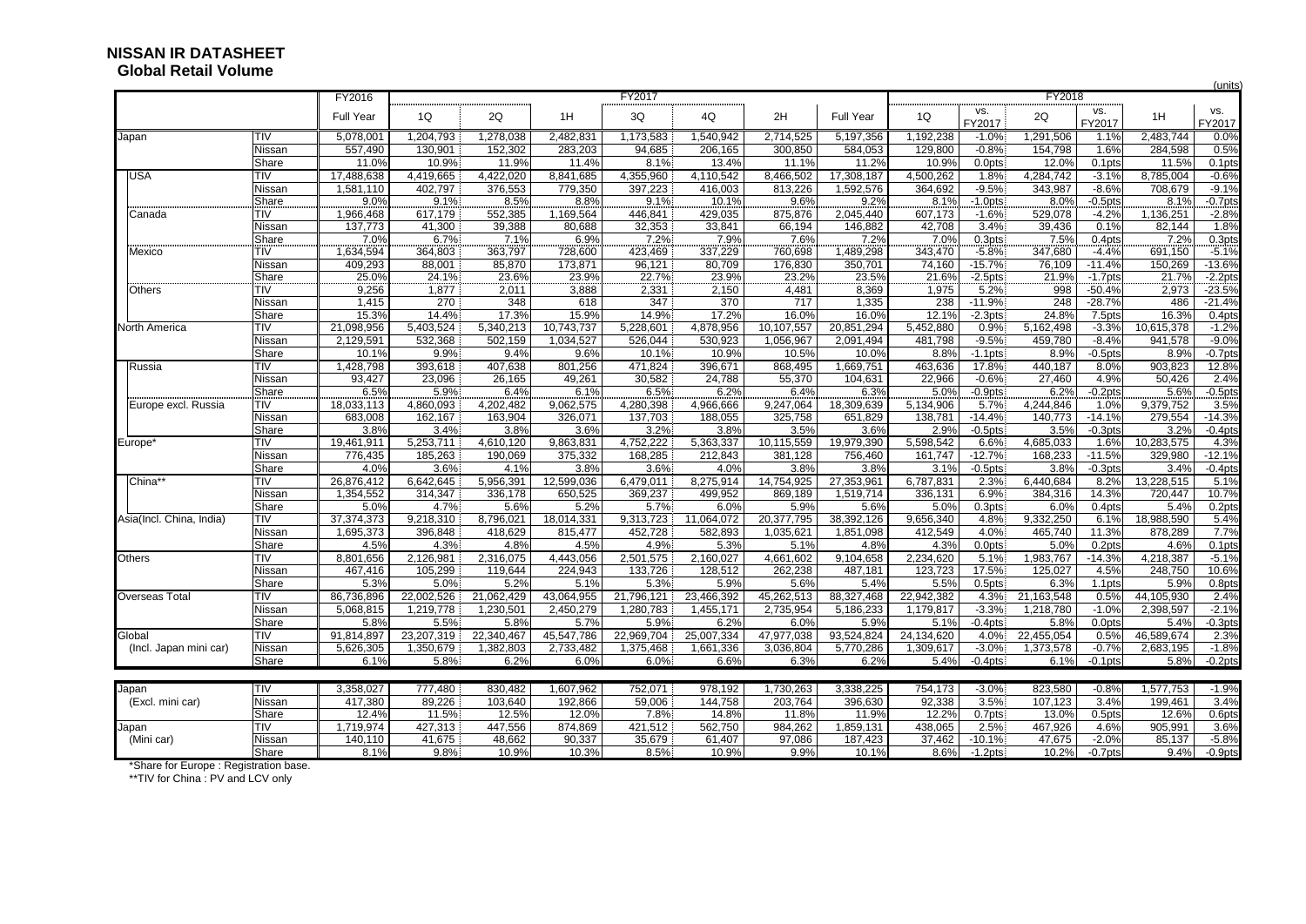### **NISSAN IR DATASHEETGlobal Retail Volume**

|                          |                 |                 |                 |                 |                 |                 | (units)<br>FY2018 |                 |                 |                 |                        |                 |                       |                 |                        |
|--------------------------|-----------------|-----------------|-----------------|-----------------|-----------------|-----------------|-------------------|-----------------|-----------------|-----------------|------------------------|-----------------|-----------------------|-----------------|------------------------|
|                          |                 | FY2016          | .               |                 |                 | FY2017          |                   |                 |                 |                 |                        |                 |                       |                 |                        |
|                          |                 | Full Year       | 1Q              | 2Q              | 1H              | 3Q              | 4Q                | 2H              | Full Year       | 1Q              | VS.<br>FY2017          | 2Q              | VS.<br>FY2017         | 1H              | VS.<br>FY2017          |
| Japan                    | TIV             | 5,078,001       | 1,204,793       | 1,278,038       | 2,482,831       | 1,173,583       | 1,540,942         | 2,714,525       | 5,197,356       | 1,192,238       | $-1.0%$                | 1,291,506       | 1.1%                  | 2,483,744       | 0.0%                   |
|                          | Nissan          | 557,490         | 130,901         | 152,302         | 283,203         | 94,685          | 206,165           | 300,850         | 584,053         | 129,800         | $-0.8%$                | 154,798         | 1.6%                  | 284,598         | 0.5%                   |
|                          | Share           | 11.0%           | 10.9%           | 11.9%           | 11.4%           | 8.1%            | 13.4%             | 11.1%           | 11.2%           | 10.9%           | 0.0pts                 | 12.0%           | 0.1 <sub>pts</sub>    | 11.5%           | 0.1 <sub>pts</sub>     |
| JSA                      | TIV             | 17,488,638      | 4,419,665       | 4,422,020       | 8,841,685       | 4,355,960       | 4,110,542         | 8,466,502       | 17,308,187      | 4,500,262       | 1.8%                   | 4,284,742       | $-3.1%$               | 8,785,004       | $-0.6%$                |
|                          | Nissan          | 1,581,110       | 402,797         | 376,553         | 779,350         | 397,223         | 416,003           | 813,226         | 1,592,576       | 364,692         | $-9.5%$                | 343,987         | $-8.6%$               | 708,679         | $-9.1%$                |
|                          | Share           | 9.0%            | 9.1%            | 8.5%            | 8.8%            | 9.1%            | 10.1%             | 9.6%            | 9.2%            | 8.1%            | $-1.0$ pts             | 8.0%            | $-0.5$ pts            | 8.1%            | $-0.7$ pts             |
| Canada                   | TIV             | 1,966,468       | 617,179         | 552,385         | 1,169,564       | 446,841         | 429,035           | 875,876         | 2,045,440       | 607,173         | $-1.6%$                | 529,078         | $-4.2%$               | 1,136,251       | $-2.8%$                |
|                          | Nissan          | 137,773         | 41,300          | 39,388          | 80,688          | 32,353          | 33,841            | 66,194          | 146,882         | 42,708          | 3.4%                   | 39,436          | 0.1%                  | 82,144          | 1.8%                   |
|                          | Share           | 7.0%            | 6.7%            | 7.1%            | 6.9%            | 7.2%            | 7.9%              | 7.6%            | 7.2%            | 7.0%            | 0.3pts                 | 7.5%            | 0.4pts                | 7.2%            | 0.3 <sub>pts</sub>     |
| Mexico                   | TIV             | 1,634,594       | 364,803         | 363,797         | 728,600         | 423,469         | 337,229           | 760,698         | 1,489,298       | 343,470         | $-5.8%$                | 347,680         | $-4.4%$               | 691,150         | $-5.1%$                |
|                          | Nissan          | 409,293         | 88.001          | 85,870          | 173.871         | 96,121          | 80,709            | 176,830         | 350,701         | 74.160          | $-15.7%$               | 76,109          | $-11.4%$              | 150.269         | $-13.6%$               |
|                          | Share           | 25.0%           | 24.1%           | 23.6%           | 23.9%           | 22.7%           | 23.9%             | 23.2%           | 23.5%           | 21.6%           | $-2.5$ pts             | 21.9%           | $-1.7$ pts            | 21.7%           | $-2.2$ pts             |
| Others                   | TIV             | 9,256           | 1,877           | 2,011           | 3,888           | 2,331           | 2,150             | 4,481           | 8,369           | 1,975           | 5.2%                   | 998             | $-50.4%$              | 2,973           | $-23.5%$               |
|                          | Nissan          | 1,415           | 270             | 348             | 618             | 347             | 370               | 717             | 1,335           | 238             | $-11.9%$               | 248             | $-28.7%$              | 486             | $-21.4%$               |
|                          | Share           | 15.3%           | 14.4%           | 17.3%           | 15.9%           | 14.9%           | 17.2%             | 16.0%           | 16.0%           | 12.1%           | $-2.3pts$              | 24.8%           | 7.5 <sub>pts</sub>    | 16.3%           | $0.4$ pts              |
| <b>North America</b>     | TIV             | 21,098,956      | 5,403,524       | 5,340,213       | 10,743,737      | 5,228,601       | 4,878,956         | 10,107,557      | 20,851,294      | 5,452,880       | 0.9%                   | 5,162,498       | $-3.3%$               | 10,615,378      | $-1.2%$                |
|                          | Nissan          | 2,129,591       | 532,368         | 502,159         | 1,034,527       | 526,044         | 530,923           | 1,056,967       | 2,091,494       | 481,798         | $-9.5%$                | 459,780         | $-8.4%$               | 941,578         | $-9.0%$                |
|                          | Share           | 10.1%           | 9.9%            | 9.4%            | 9.6%            | 10.1%           | 10.9%             | 10.5%           | 10.0%           | 8.8%            | $-1.1$ pts             | 8.9%            | $-0.5$ pts            | 8.9%            | $-0.7$ pts             |
| Russia                   | TIV             | 1,428,798       | 393,618         | 407,638         | 801,256         | 471,824         | 396,671           | 868,495         | 1,669,751       | 463,636         | 17.8%                  | 440,187         | 8.0%                  | 903,823         | 12.8%                  |
|                          | Nissan          | 93,427          | 23,096          | 26,165          | 49,261          | 30,582          | 24,788            | 55,370          | 104,631         | 22,966          | $-0.6%$                | 27,460          | 4.9%                  | 50,426          | 2.4%                   |
|                          | Share           | 6.5%            | 5.9%            | 6.4%            | 6.1%            | 6.5%            | 6.2%              | 6.4%            | 6.3%            | 5.0%            | $-0.9$ pts             | 6.2%            | $-0.2$ pts            | 5.6%            | $-0.5$ pts             |
| Europe excl. Russia      | TIV             | 18,033,113      | 4,860,093       | 4,202,482       | 9,062,575       | 4,280,398       | 4,966,666         | 9,247,064       | 18,309,639      | 5,134,906       | 5.7%                   | 4,244,846       | 1.0%                  | 9,379,752       | 3.5%                   |
|                          | Nissan<br>Share | 683,008<br>3.8% | 162,167<br>3.4% | 163,904<br>3.8% | 326,071<br>3.6% | 137,703<br>3.2% | 188,055<br>3.8%   | 325,758<br>3.5% | 651,829<br>3.6% | 138,781<br>2.9% | $-14.4%$<br>$-0.5$ pts | 140,773<br>3.5% | $-14.1%$<br>$-0.3pts$ | 279,554<br>3.2% | $-14.3%$<br>$-0.4$ pts |
|                          | TIV             | 19,461,911      | 5,253,711       | 4,610,120       | 9,863,831       | 4,752,222       | 5,363,337         | 10,115,559      | 19,979,390      | 5,598,542       | 6.6%                   | 4,685,033       | 1.6%                  | 10,283,575      | 4.3%                   |
| Europe*                  | Nissan          | 776,435         | 185,263         | 190,069         | 375,332         | 168,285         | 212,843           | 381,128         | 756,460         | 161,747         | $-12.7%$               | 168,233         | $-11.5%$              | 329,980         | $-12.1%$               |
|                          | Share           | 4.0%            | 3.6%            | 4.1%            | 3.8%            | 3.6%            | 4.0%              | 3.8%            | 3.8%            | 3.1%            | $-0.5$ pts             | 3.8%            | $-0.3pts$             | 3.4%            | $-0.4$ pts             |
| China*                   | TIV             | 26,876,412      | 6,642,645       | 5,956,391       | 12,599,036      | 6,479,011       | 8,275,914         | 14,754,925      | 27,353,961      | 6,787,831       | 2.3%                   | 6,440,684       | 8.2%                  | 13,228,515      | 5.1%                   |
|                          | Nissan          | 1,354,552       | 314,347         | 336,178         | 650,525         | 369,237         | 499,952           | 869,189         | 1,519,714       | 336,131         | 6.9%                   | 384,316         | 14.3%                 | 720.447         | 10.7%                  |
|                          | Share           | 5.0%            | 4.7%            | 5.6%            | 5.2%            | 5.7%            | 6.0%              | 5.9%            | 5.6%            | 5.0%            | 0.3 <sub>pts</sub>     | 6.0%            | 0.4pts                | 5.4%            | 0.2 <sub>pts</sub>     |
| Asia(Incl. China, India) | <b>TIV</b>      | 37, 374, 373    | 9,218,310       | 8,796,02        | 18,014,331      | 9,313,723       | 11,064,072        | 20,377,795      | 38,392,126      | 9,656,340       | 4.8%                   | 9,332,250       | 6.1%                  | 18,988,590      | 5.4%                   |
|                          | Nissan          | 1,695,373       | 396,848         | 418,629         | 815,477         | 452,728         | 582,893           | 1,035,621       | 1,851,098       | 412,549         | 4.0%                   | 465,740         | 11.3%                 | 878,289         | 7.7%                   |
|                          | Share           | 4.5%            | 4.3%            | 4.8%            | 4.5%            | 4.9%            | 5.3%              | 5.1%            | 4.8%            | 4.3%            | $0.0$ pts              | 5.0%            | 0.2pts                | 4.6%            | 0.1 <sub>pts</sub>     |
| Others                   | TIV             | 8,801,656       | 2,126,981       | 2,316,075       | 4,443,056       | 2,501,575       | 2,160,027         | 4,661,602       | 9,104,658       | 2,234,620       | 5.1%                   | 1,983,767       | $-14.3%$              | 4,218,387       | $-5.1%$                |
|                          | Nissan          | 467,416         | 105,299         | 119,644         | 224,943         | 133,726         | 128,512           | 262,238         | 487,181         | 123,723         | 17.5%                  | 125,027         | 4.5%                  | 248,750         | 10.6%                  |
|                          | Share           | 5.3%            | 5.0%            | 5.2%            | 5.1%            | 5.3%            | 5.9%              | 5.6%            | 5.4%            | 5.5%            | 0.5 <sub>pts</sub>     | 6.3%            | 1.1pts                | 5.9%            | 0.8pts                 |
| Overseas Total           | TIV             | 86,736,896      | 22,002,526      | 21,062,429      | 43,064,955      | 21,796,121      | 23,466,392        | 45,262,513      | 88,327,468      | 22,942,382      | 4.3%                   | 21,163,548      | 0.5%                  | 44,105,930      | 2.4%                   |
|                          | Nissan          | 5,068,815       | 1.219.778       | 1,230,501       | 2,450,279       | 1,280,783       | 1,455,171         | 2,735,954       | 5,186,233       | 1,179,817       | $-3.3%$                | 1,218,780       | $-1.0%$               | 2,398,597       | $-2.1%$                |
|                          | Share           | 5.8%            | 5.5%            | 5.8%            | 5.7%            | 5.9%            | 6.2%              | 6.0%            | 5.9%            | 5.1%            | $-0.4$ pts             | 5.8%            | 0.0pts                | 5.4%            | $-0.3$ pts             |
| Global                   | TIV             | 91,814,897      | 23,207,319      | 22,340,467      | 45,547,786      | 22,969,704      | 25,007,334        | 47,977,038      | 93,524,824      | 24,134,620      | 4.0%                   | 22,455,054      | 0.5%                  | 46,589,674      | 2.3%                   |
| (Incl. Japan mini car)   | Nissan          | 5,626,305       | 1,350,679       | 1,382,803       | 2,733,482       | 1,375,468       | 1,661,336         | 3,036,804       | 5.770.286       | 1,309,617       | $-3.0%$                | 1,373,578       | $-0.7%$               | 2,683,195       | $-1.8%$                |
|                          | Share           | 6.1%            | 5.8%            | 6.2%            | 6.0%            | 6.0%            | 6.6%              | 6.3%            | 6.2%            | 5.4%            | $-0.4$ pts.            | 6.1%            | $-0.1$ pts            | 5.8%            | $-0.2$ pts             |
|                          |                 |                 |                 |                 |                 |                 |                   |                 |                 |                 |                        |                 |                       |                 |                        |
| Japan                    | <b>TIV</b>      | 3,358,027       | 777,480         | 830,482         | 1,607,962       | 752,071         | 978,192           | 1,730,263       | 3,338,225       | 754,173         | $-3.0%$                | 823,580         | $-0.8%$               | 1,577,753       | $-1.9%$                |
| (Excl. mini car)         | Nissan          | 417,380         | 89,226          | 103,640         | 192,866         | 59,006          | 144,758           | 203,764         | 396,630         | 92,338          | 3.5%                   | 107,123         | 3.4%                  | 199,461         | 3.4%                   |
|                          | Share           | 12.4%           | 11.5%           | 12.5%           | 12.0%           | 7.8%            | 14.8%             | 11.8%           | 11.9%           | 12.2%           | 0.7pts                 | 13.0%           | 0.5 <sub>pts</sub>    | 12.6%           | 0.6pts                 |
| Japan                    | TIV             | 1,719,974       | 427,313         | 447,556         | 874,869         | 421,512         | 562,750           | 984,262         | 1,859,131       | 438,065         | 2.5%                   | 467,926         | 4.6%                  | 905,991         | 3.6%                   |
| (Mini car)               | Nissan          | 140,110         | 41,675          | 48,662          | 90,337          | 35,679          | 61,407            | 97,086          | 187,423         | 37,462          | $-10.1%$               | 47,675          | $-2.0%$               | 85,137          | $-5.8%$                |
|                          | Share           | 8.1%            | 9.8%            | 10.9%           | 10.3%           | 8.5%            | 10.9%             | 9.9%            | 10.1%           | 8.6%            | $-1.2pts$              | 10.2%           | $-0.7$ pts            | 9.4%            | $-0.9$ pts             |

\*Share for Europe : Registration base.

\*\*TIV for China : PV and LCV only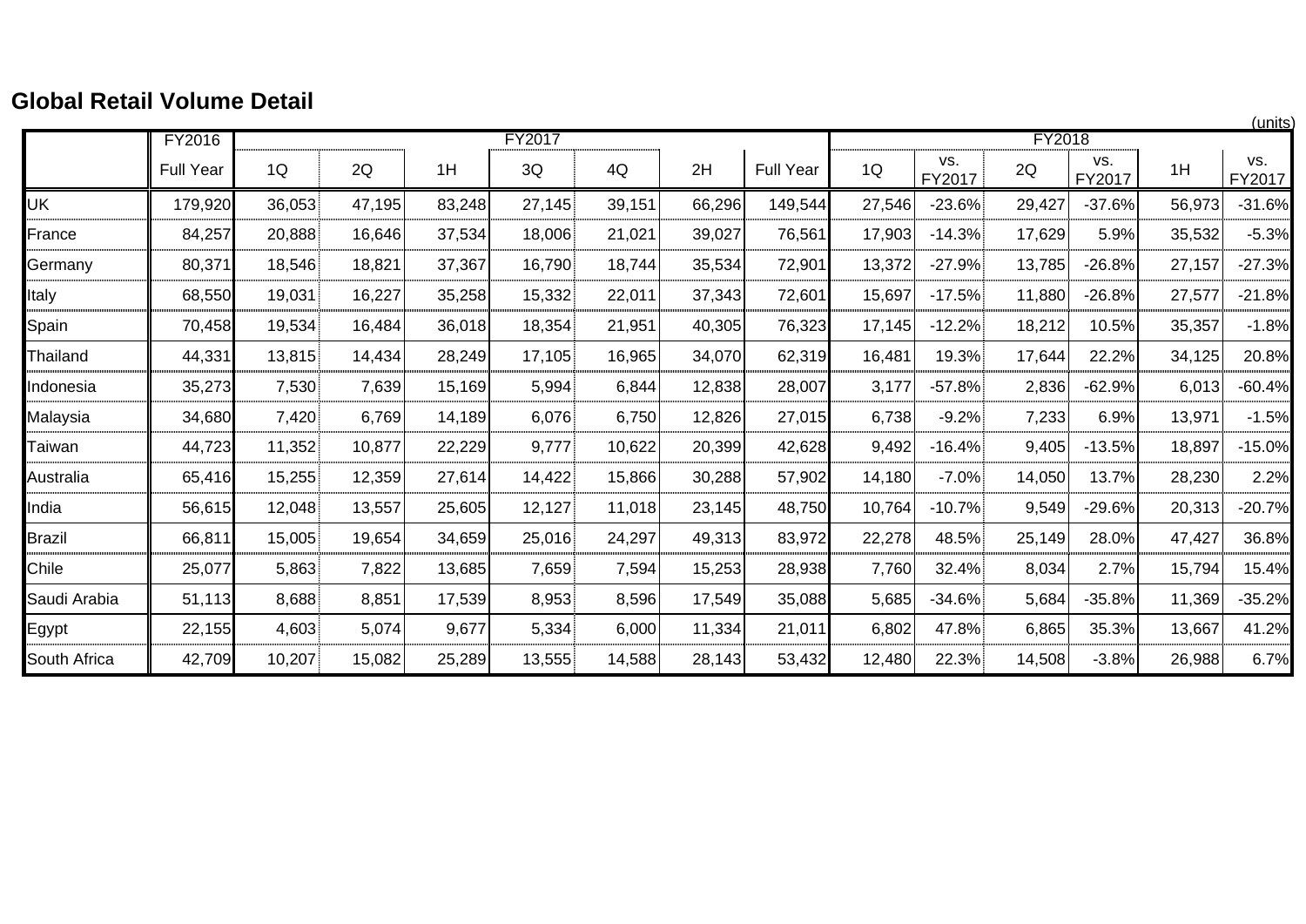## **Global Retail Volume Detail**

|               |                  |        |        |        |        |        |        |                  |        |               |        |               |        | (units)       |
|---------------|------------------|--------|--------|--------|--------|--------|--------|------------------|--------|---------------|--------|---------------|--------|---------------|
|               | FY2016           |        |        |        | FY2017 |        |        |                  |        |               | FY2018 |               |        |               |
|               | <b>Full Year</b> | 1Q     | 2Q     | 1H     | 3Q     | 4Q     | 2H     | <b>Full Year</b> | 1Q     | VS.<br>FY2017 | 2Q     | VS.<br>FY2017 | 1H     | VS.<br>FY2017 |
| <b>UK</b>     | 179,920          | 36,053 | 47,195 | 83,248 | 27,145 | 39,151 | 66,296 | 149,544          | 27,546 | $-23.6%$      | 29,427 | $-37.6%$      | 56,973 | $-31.6%$      |
| France        | 84,257           | 20,888 | 16,646 | 37,534 | 18,006 | 21,021 | 39,027 | 76,561           | 17,903 | $-14.3%$      | 17,629 | 5.9%          | 35,532 | $-5.3%$       |
| Germany       | 80,371           | 18,546 | 18,821 | 37,367 | 16,790 | 18,744 | 35,534 | 72,901           | 13,372 | $-27.9%$      | 13,785 | $-26.8%$      | 27,157 | $-27.3%$      |
| Italy         | 68,550           | 19,031 | 16,227 | 35,258 | 15,332 | 22,011 | 37,343 | 72,601           | 15,697 | $-17.5%$      | 11,880 | $-26.8%$      | 27,577 | $-21.8%$      |
| Spain         | 70,458           | 19,534 | 16,484 | 36,018 | 18,354 | 21,951 | 40,305 | 76,323           | 17,145 | $-12.2%$      | 18,212 | 10.5%         | 35,357 | $-1.8%$       |
| Thailand      | 44,331           | 13,815 | 14,434 | 28,249 | 17,105 | 16,965 | 34,070 | 62,319           | 16,481 | 19.3%         | 17,644 | 22.2%         | 34,125 | 20.8%         |
| Indonesia     | 35,273           | 7,530  | 7,639  | 15,169 | 5,994  | 6,844  | 12,838 | 28,007           | 3,177  | $-57.8%$      | 2,836  | $-62.9%$      | 6,013  | $-60.4%$      |
| Malaysia      | 34,680           | 7,420  | 6,769  | 14,189 | 6,076  | 6,750  | 12,826 | 27,015           | 6,738  | $-9.2%$       | 7,233  | 6.9%          | 13,971 | $-1.5%$       |
| Taiwan        | 44,723           | 11,352 | 10,877 | 22,229 | 9,777  | 10,622 | 20,399 | 42,628           | 9,492  | $-16.4%$      | 9,405  | $-13.5%$      | 18,897 | $-15.0%$      |
| Australia     | 65,416           | 15,255 | 12,359 | 27,614 | 14,422 | 15,866 | 30,288 | 57,902           | 14,180 | $-7.0%$       | 14,050 | 13.7%         | 28,230 | 2.2%          |
| India         | 56,615           | 12,048 | 13,557 | 25,605 | 12,127 | 11,018 | 23,145 | 48,750           | 10,764 | $-10.7%$      | 9,549  | $-29.6%$      | 20,313 | $-20.7%$      |
| <b>Brazil</b> | 66,811           | 15,005 | 19,654 | 34,659 | 25,016 | 24,297 | 49,313 | 83,972           | 22,278 | 48.5%         | 25,149 | 28.0%         | 47,427 | 36.8%         |
| Chile         | 25,077           | 5,863  | 7,822  | 13,685 | 7,659  | 7,594  | 15,253 | 28,938           | 7,760  | 32.4%         | 8,034  | 2.7%          | 15,794 | 15.4%         |
| Saudi Arabia  | 51,113           | 8,688  | 8,851  | 17,539 | 8,953  | 8,596  | 17,549 | 35,088           | 5,685  | $-34.6%$      | 5,684  | $-35.8%$      | 11,369 | $-35.2%$      |
| Egypt         | 22,155           | 4,603  | 5,074  | 9,677  | 5,334  | 6,000  | 11,334 | 21,011           | 6,802  | 47.8%         | 6,865  | 35.3%         | 13,667 | 41.2%         |
| South Africa  | 42,709           | 10,207 | 15,082 | 25,289 | 13,555 | 14,588 | 28,143 | 53,432           | 12,480 | 22.3%         | 14,508 | $-3.8%$       | 26,988 | 6.7%          |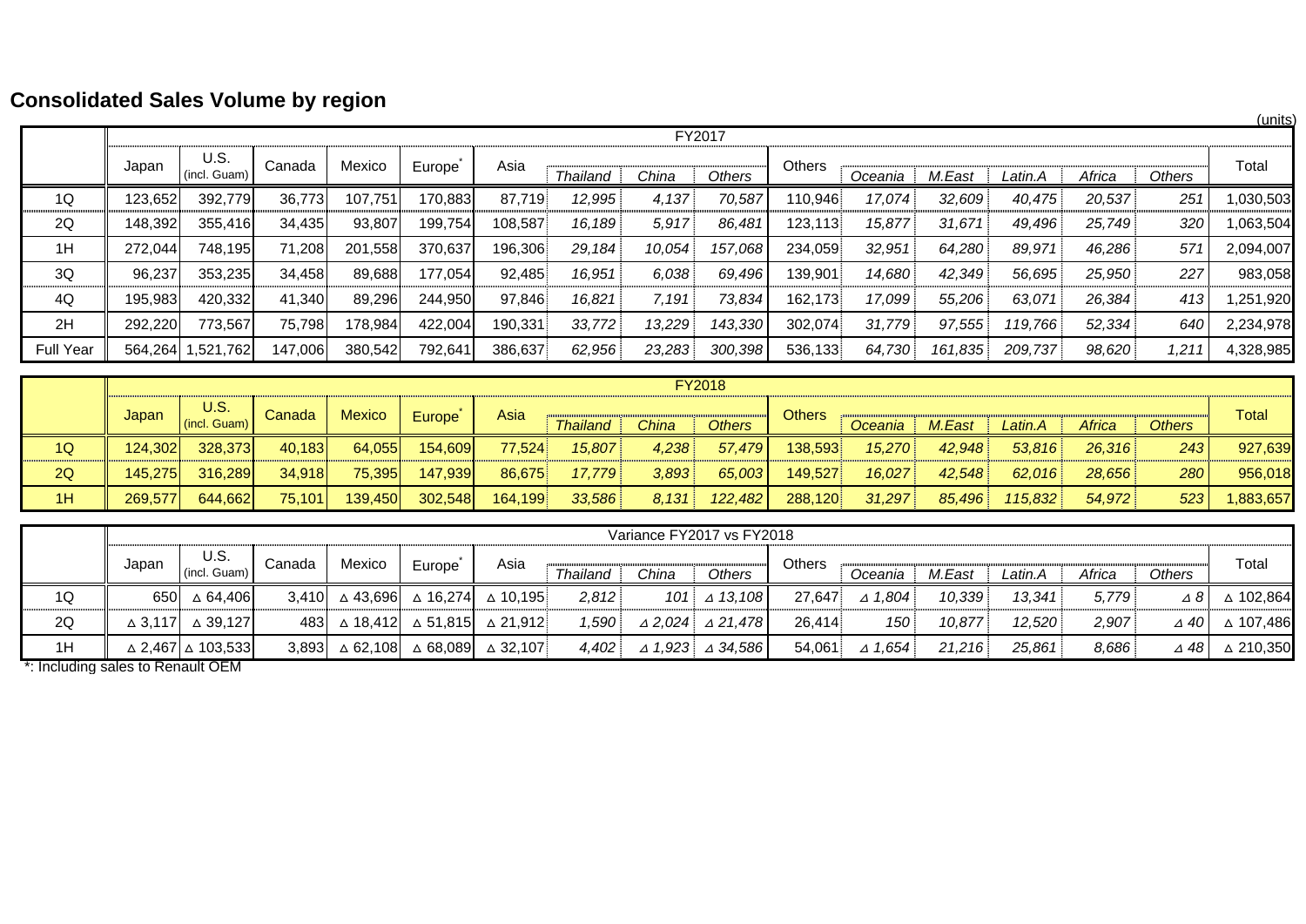# **Consolidated Sales Volume by region**

|                  |         |                      |         | -       |         |         |                 |        |         |               |         |         |         |        |        | (units)   |
|------------------|---------|----------------------|---------|---------|---------|---------|-----------------|--------|---------|---------------|---------|---------|---------|--------|--------|-----------|
|                  |         |                      |         |         |         |         |                 |        | FY2017  |               |         |         |         |        |        |           |
|                  | Japan   | U.S.<br>(incl. Guam) | Canada  | Mexico  | Europe  | Asia    | <b>Thailand</b> | China  | Others  | <b>Others</b> | Oceania | M.East  | Latin.A | Africa | Others | Total     |
| 1Q               | 123,652 | 392,779              | 36,773  | 107,751 | 170,883 | 87,719  | 12,995          | 4,137  | 70,587  | 110,946       | 17,074  | 32,609  | 40,475  | 20,537 | 251    | 1,030,503 |
| 2Q               | 148,392 | 355,416              | 34,435  | 93,807  | 199,754 | 108,587 | 16,189          | 5,917  | 86,481  | 123,113       | 15,877  | 31,671  | 49,496  | 25,749 | 320    | 1,063,504 |
| 1H               | 272,044 | 748,195              | 71,208  | 201,558 | 370,637 | 196,306 | 29,184          | 10,054 | 157,068 | 234,059       | 32,951  | 64,280  | 89,971  | 46,286 | 571    | 2,094,007 |
| 3Q               | 96,237  | 353,235              | 34,458  | 89,688  | 177,054 | 92,485  | 16,951          | 6,038  | 69,496  | 139,901       | 14,680  | 42,349  | 56,695  | 25,950 | 227    | 983,058   |
| 4Q               | 195,983 | 420,332              | 41,340  | 89,296  | 244,950 | 97,846  | 16,821          | 7,191  | 73,834  | 162,173       | 17,099  | 55,206  | 63,071  | 26,384 | 413    | 1,251,920 |
| 2H               | 292,220 | 773,567              | 75,798  | 178,984 | 422,004 | 190,331 | 33,772          | 13,229 | 143,330 | 302,074       | 31,779  | 97,555  | 119,766 | 52,334 | 640    | 2,234,978 |
| <b>Full Year</b> | 564,264 | 1,521,762            | 147,006 | 380,542 | 792,641 | 386,637 | 62,956          | 23,283 | 300,398 | 536,133       | 64,730  | 161,835 | 209,737 | 98,620 | 1,211  | 4,328,985 |

|    |         |                        |          |               |         |         |                 |              | <b>FY2018</b> |               |         |        |         |        |               |          |
|----|---------|------------------------|----------|---------------|---------|---------|-----------------|--------------|---------------|---------------|---------|--------|---------|--------|---------------|----------|
|    | Japar   | U.S.<br>$(incl.$ Guam) | Canada l | <b>Mexico</b> | Europe  | Asia    | <b>Thailand</b> | <b>China</b> | <b>Others</b> | <b>Others</b> | Oceania | M.East | Latin.A | Africa | <b>Others</b> | Total    |
| 1Q | 124,302 | 328,373                | 40.183   | 64,055        | 154,609 | 77.524  | 15.807          | 4,238        | 57.479        | 138.593       | 15.270  | 42.948 | 53,816  | 26.316 | 243           | 927,639  |
| 2Q | 145,275 | 316,289                | 34,918   | 75,395        | 147,939 | 86,675  | 17.779          | 3,893        | 65,003        | 149,527       | 16,027  | 42,548 | 62,016  | 28,656 | 280           | 956,018  |
| 1H | 269,577 | 644.662                | 75,101   | 139,450       | 302,548 | 164,199 | 33,586          | 8,131        | 122,482       | 288,120       | 31,297  | 85,496 | 115,832 | 54,972 | 523           | ,883,657 |

|    | Variance FY2017 vs FY2018 |                                       |        |        |        |                                                              |                 |       |                                      |        |                   |        |         |        |               |           |
|----|---------------------------|---------------------------------------|--------|--------|--------|--------------------------------------------------------------|-----------------|-------|--------------------------------------|--------|-------------------|--------|---------|--------|---------------|-----------|
|    | Japan                     | U.S.<br>(incl. Guam)                  | Canada | Mexico | Europe | Asia                                                         | <b>Thailand</b> | China | Others                               | Others | Oceania           | M.East | Latin.A | Africa | Others        | Total     |
| 1Q |                           | 650 △ 64,406                          | 3.410  |        |        | $\Delta$ 43,696 $\Delta$ 16,274 $\Delta$ 10,195              | 2.812           |       | 101 $\triangle$ 13,108               | 27.647 | $\triangle$ 1.804 | 10.339 | 13.341  | 5,779  | $\triangle$ 8 | △ 102,864 |
| 2Q |                           | $\triangle$ 3,117 $\triangle$ 39,127  |        |        |        | 483 $\triangle$ 18,412 $\triangle$ 51,815 $\triangle$ 21,912 | 1,590           |       | $\triangle$ 2.024 $\triangle$ 21.478 | 26.414 | 150               | 10.877 | 12.520  | 2,907  | ⊿ 40          | △ 107,486 |
| 1H |                           | $\triangle$ 2,467 $\triangle$ 103,533 | 3.893  |        |        | $\triangle$ 62,108 $\triangle$ 68,089 $\triangle$ 32,107     | 4.402           |       | $\triangle$ 1.923 $\triangle$ 34.586 | 54.061 | $\triangle$ 1.654 | 21.216 | 25.861  | 8,686  | ⊿ 48'         | △ 210,350 |

\*: Including sales to Renault OEM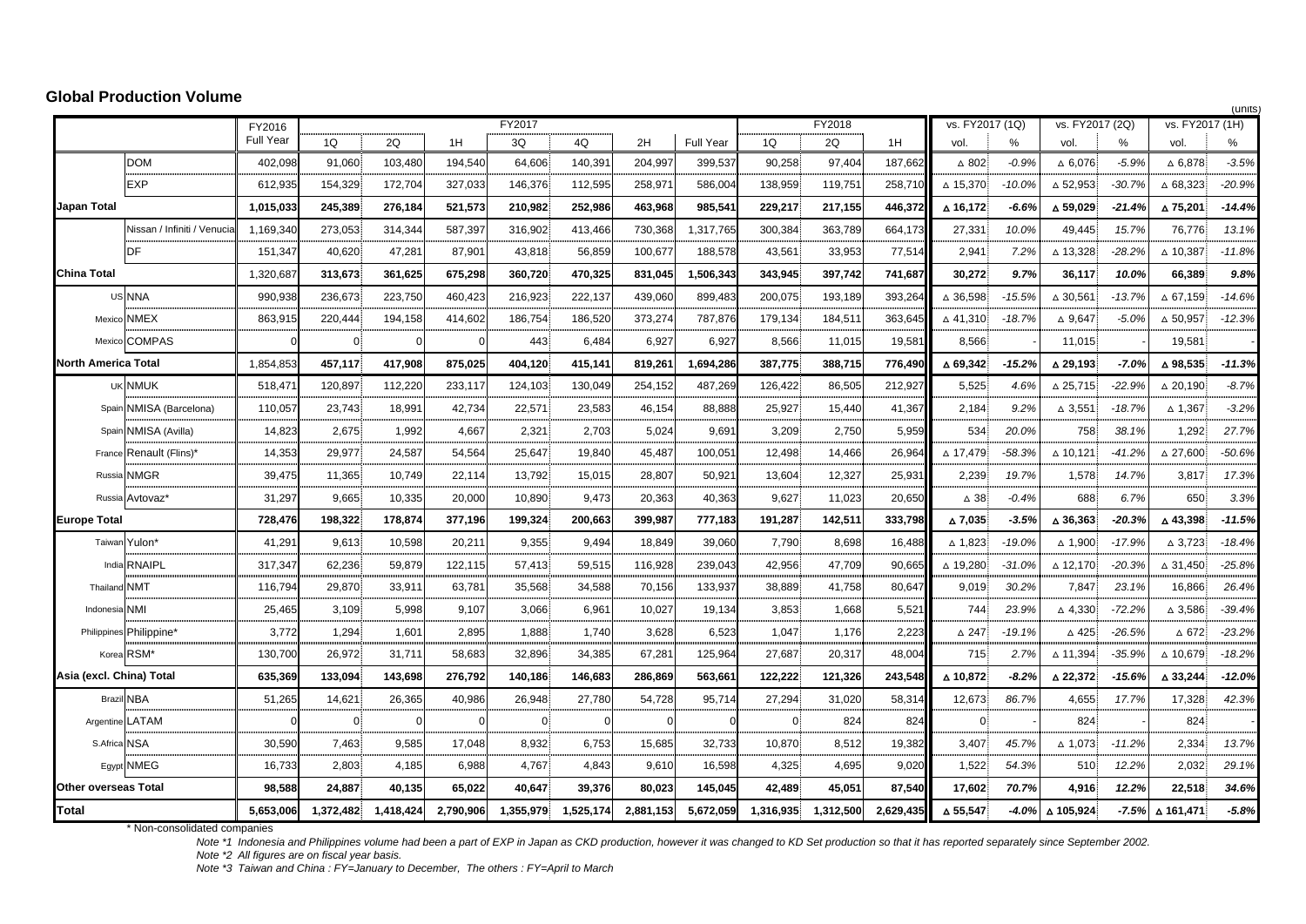#### **Global Production Volume**

|                             |                             |                  |                |            |           |           |           |           |                  |                |           | (units)   |                    |          |                    |           |                    |          |
|-----------------------------|-----------------------------|------------------|----------------|------------|-----------|-----------|-----------|-----------|------------------|----------------|-----------|-----------|--------------------|----------|--------------------|-----------|--------------------|----------|
|                             |                             | FY2016           |                |            |           | FY2017    |           |           |                  |                | FY2018    |           | vs. FY2017 (1Q)    |          | vs. FY2017 (2Q)    |           | vs. FY2017 (1H)    |          |
|                             |                             | <b>Full Year</b> | 1Q             | 2Q         | 1H        | 3Q        | 4Q        | 2H        | <b>Full Year</b> | 1Q             | 2Q        | 1H        | vol.               | %        | vol.               | %         | vol                | %        |
|                             | <b>DOM</b>                  | 402,098          | 91.060         | 103.480    | 194.540   | 64.606    | 140,391   | 204,997   | 399.537          | 90.258         | 97.404    | 187.662   | $\triangle$ 802    | $-0.9%$  | $\triangle$ 6,076  | $-5.9%$   | $\triangle$ 6,878  | $-3.5%$  |
|                             | EXP                         | 612,935          | 154,329        | 172,704    | 327,033   | 146,376   | 112,595   | 258,971   | 586,004          | 138,959        | 119,75    | 258,710   | △ 15,370           | $-10.0%$ | $\triangle$ 52,953 | $-30.7%$  | $\triangle$ 68,323 | $-20.9%$ |
| Japan Total                 |                             | 1,015,033        | 245,389        | 276,184    | 521,573   | 210.982   | 252,986   | 463,968   | 985,541          | 229,217        | 217,155   | 446,372   | ∆ 16,172           | $-6.6%$  | △ 59,029           | $-21.4%$  | ∆75,201            | $-14.4%$ |
|                             | Nissan / Infiniti / Venucia | 1,169,340        | 273,053        | 314,344    | 587.397   | 316,902   | 413,466   | 730,368   | 1,317,765        | 300,384        | 363,789   | 664.173   | 27,331             | 10.0%    | 49,445             | 15.7%     | 76,776             | 13.1%    |
|                             | DF                          | 151,347          | 40,620         | 47,281     | 87,901    | 43,818    | 56,859    | 100,677   | 188,578          | 43,561         | 33,953    | 77,51     | 2,941              | 7.2%     | $\triangle$ 13,328 | $-28.2%$  | $\Delta$ 10,387    | $-11.8%$ |
| <b>China Total</b>          |                             | 1,320,68         | 313,673        | 361,625    | 675,298   | 360.720   | 470,325   | 831,045   | 1,506,343        | 343.945        | 397,742   | 741.687   | 30,272             | 9.7%     | 36,117             | 10.0%     | 66,389             | 9.8%     |
|                             | US NNA                      | 990,938          | 236,673        | 223,750    | 460.423   | 216.923   | 222,137   | 439,060   | 899,483          | 200,075        | 193,189   | 393,264   | $\triangle$ 36,598 | $-15.5%$ | $\triangle$ 30,561 | $-13.7%$  | $\triangle$ 67,159 | $-14.6%$ |
|                             | Mexico NMEX                 | 863,915          | 220,444        | 194,158    | 414,602   | 186,754   | 186,520   | 373,274   | 787,876          | 179,134        | 184,511   | 363,645   | $\triangle$ 41,310 | $-18.7%$ | $\Delta$ 9,647     | $-5.0%$   | $\Delta$ 50,957    | $-12.3%$ |
|                             | Mexico COMPAS               | $\Omega$         | $\overline{0}$ | $\Omega$   | $\Omega$  | 443       | 6,484     | 6,927     | 6,927            | 8,566          | 11,015    | 19,581    | 8,566              |          | 11,015             |           | 19,581             |          |
| North America Total         |                             | 1,854,85         | 457.117        | 417,908    | 875.025   | 404.120   | 415,141   | 819,261   | 1,694,286        | 387,775        | 388,715   | 776.490   | $\triangle$ 69.342 | $-15.2%$ | △ 29,193           | $-7.0%$   | △ 98,535           | $-11.3%$ |
|                             | UK NMUK                     | 518,47           | 120,897        | 112,220    | 233,117   | 124,103   | 130,049   | 254,152   | 487,269          | 126,422        | 86,505    | 212,927   | 5,525              | 4.6%     | $\Delta$ 25,715    | $-22.9%$  | $\triangle$ 20,190 | $-8.7%$  |
|                             | Spain NMISA (Barcelona)     | 110,057          | 23,743         | 18,991     | 42,734    | 22,571    | 23,583    | 46,154    | 88,888           | 25,927         | 15,440    | 41,367    | 2,184              | 9.2%     | $\Delta$ 3,551     | $-18.7%$  | $\Delta$ 1,367     | $-3.2%$  |
| Spain                       | NMISA (Avilla)              | 14,823           | 2,675          | 1,992      | 4,667     | 2,321     | 2,703     | 5,024     | 9.691            | 3,209          | 2,750     | 5.959     | 534                | 20.0%    | 758                | 38.1%     | 1,292              | 27.7%    |
| France                      | Renault (Flins)*            | 14,353           | 29,977         | 24,587     | 54,564    | 25,647    | 19,840    | 45,487    | 100,05'          | 12,498         | 14,466    | 26,964    | △ 17,479           | $-58.3%$ | △ 10,121           | $-41.2%$  | $\triangle$ 27,600 | $-50.6%$ |
| Russia                      | NMGR                        | 39,475           | 11,365         | 10,749     | 22,114    | 13,792    | 15,015    | 28,807    | 50,921           | 13,604         | 12,327    | 25,931    | 2,239              | 19.7%    | 1,578              | 14.7%     | 3,817              | 17.3%    |
|                             | Russia Avtovaz'             | 31,297           | 9,665          | 10,335     | 20.000    | 10.890    | 9,473     | 20,363    | 40.363           | 9.627          | 11,023    | 20,650    | $\triangle$ 38     | $-0.4%$  | 688                | 6.7%      | 650                | 3.3%     |
| <b>Europe Total</b>         |                             | 728,476          | 198,322        | 178,874    | 377,196   | 199,324   | 200,663   | 399,987   | 777,183          | 191,287        | 142,511   | 333,798   | △ 7,035            | $-3.5%$  | △ 36,363           | $-20.3%$  | △43,398            | $-11.5%$ |
|                             | Taiwan Yulon*               | 41,291           | 9,613          | 10,598     | 20,211    | 9,355     | 9,494     | 18,849    | 39,060           | 7,790          | 8,698     | 16,488    | △ 1,823            | $-19.0%$ | △ 1,900            | $-17.9%$  | $\triangle$ 3,723  | $-18.4%$ |
|                             | India RNAIPL                | 317,347          | 62,236         | 59,879     | 122,115   | 57,413    | 59,515    | 116,928   | 239,043          | 42,956         | 47,709    | 90,665    | △ 19,280           | $-31.0%$ | △ 12,170           | $-20.3%$  | $\triangle 31,450$ | $-25.8%$ |
| Thailand NMT                |                             | 116,794          | 29,870         | 33,911     | 63,781    | 35,568    | 34,588    | 70,156    | 133,937          | 38,889         | 41,758    | 80,647    | 9,019              | 30.2%    | 7,847              | 23.1%     | 16,866             | 26.4%    |
| Indonesia NMI               |                             | 25,465           | 3,109          | 5,998      | 9,107     | 3,066     | 6,961     | 10,027    | 19,134           | 3,853          | 1,668     | 5,521     | 744                | 23.9%    | $\triangle$ 4,330  | -72.2%    | $\triangle 3,586$  | $-39.4%$ |
|                             | Philippines Philippine*     | 3,772            | 1,294          | 1,601      | 2,895     | 1,888     | 1,740     | 3.628     | 6,523            | 1,047          | 1,176     | 2.223     | $\triangle$ 247    | $-19.1%$ | △ 425              | $-26.5\%$ | $\triangle$ 672    | $-23.2%$ |
|                             | Korea RSM*                  | 130,700          | 26,972         | 31,711     | 58,683    | 32,896    | 34,385    | 67,281    | 125,964          | 27,687         | 20,317    | 48,004    | 715                | 2.7%     | △ 11,394           | $-35.9%$  | △ 10,679           | $-18.2%$ |
| Asia (excl. China) Total    |                             | 635,369          | 133.094        | 143,698    | 276.792   | 140,186   | 146,683   | 286.869   | 563,661          | 122,222        | 121,326   | 243.548   | △ 10.872           | $-8.2%$  | △ 22,372           | $-15.6%$  | △ 33,244           | $-12.0%$ |
|                             | <b>Brazil NBA</b>           | 51,265           | 14,621         | 26,365     | 40,986    | 26,948    | 27,780    | 54,728    | 95,714           | 27,294         | 31,020    | 58,314    | 12,673             | 86.7%    | 4,655              | 17.7%     | 17,328             | 42.3%    |
| Argentine LATAM             |                             |                  |                | $\epsilon$ | $\Omega$  | 0         |           |           |                  | $\overline{0}$ | 824       | 824       | 0                  |          | 824                |           | 824                |          |
| S.Africa NSA                |                             | 30,590           | 7,463          | 9,585      | 17,048    | 8,932     | 6,753     | 15,685    | 32,733           | 10,870         | 8,512     | 19,382    | 3,407              | 45.7%    | $\triangle$ 1,073  | $-11.2%$  | 2,334              | 13.7%    |
|                             | Eqypt NMEG                  | 16,733           | 2,803          | 4,185      | 6,988     | 4,767     | 4,843     | 9,610     | 16,598           | 4,325          | 4,695     | 9,020     | 1,522              | 54.3%    | 510                | 12.2%     | 2,032              | 29.1%    |
| <b>Other overseas Total</b> |                             | 98,588           | 24,887         | 40,135     | 65,022    | 40,647    | 39,376    | 80,023    | 145,045          | 42,489         | 45,051    | 87,540    | 17,602             | 70.7%    | 4,916              | 12.2%     | 22,518             | 34.6%    |
| <b>Total</b>                |                             | 5.653.006        | 1,372,482      | 1,418,424  | 2.790.906 | 1.355.979 | 1,525,174 | 2,881,153 | 5,672,059        | 1,316,935      | 1,312,500 | 2,629,435 | △ 55,547           | $-4.0%$  | △ 105.924          | $-7.5%$   | △ 161,471          | $-5.8%$  |

\* Non-consolidated companies

*Indonesia and Philippines volume had been a part of EXP in Japan as CKD production, however it was changed to KD Set production so that it has reported separately since September 2002.*

*All figures are on fiscal year basis.*

Note \*1 Indonesia and Philippines volume had been a part of EXP in Japan as CKD pro<br>Note \*2 All figures are on fiscal year basis.<br>Note \*3 Taiwan and China : FY=January to December, The others : FY=April to March